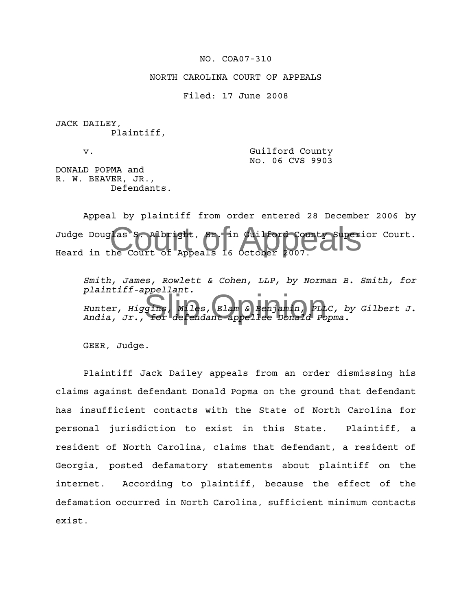## NO. COA07-310

NORTH CAROLINA COURT OF APPEALS

Filed: 17 June 2008

JACK DAILEY, Plaintiff,

v. Suilford County No. 06 CVS 9903

DONALD POPMA and R. W. BEAVER, JR., Defendants.

The Court of Appeals 16 October 2007. Appeal by plaintiff from order entered 28 December 2006 by Judge Douglas S. Albright, Sr. in Guilford County Superior Court. Heard in the Court of Appeals 16 October 2007.

praincill-appellanc.<br>
Hunter, Higgins, Miles, Elam & Benjamin, PLLC, b<br>
Andia, Jr., for defendant-appellee Donald Popma. *Smith, James, Rowlett & Cohen, LLP, by Norman B. Smith, for plaintiff-appellant. Hunter, Higgins, Miles, Elam & Benjamin, PLLC, by Gilbert J.*

GEER, Judge.

Plaintiff Jack Dailey appeals from an order dismissing his claims against defendant Donald Popma on the ground that defendant has insufficient contacts with the State of North Carolina for personal jurisdiction to exist in this State. Plaintiff, a resident of North Carolina, claims that defendant, a resident of Georgia, posted defamatory statements about plaintiff on the internet. According to plaintiff, because the effect of the defamation occurred in North Carolina, sufficient minimum contacts exist.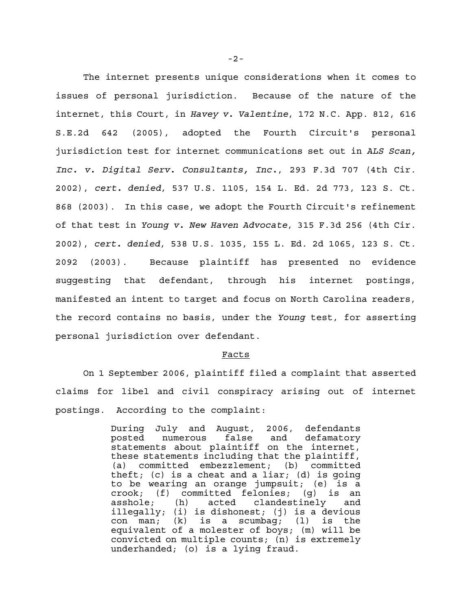The internet presents unique considerations when it comes to issues of personal jurisdiction. Because of the nature of the internet, this Court, in *Havey v. Valentine*, 172 N.C. App. 812, 616 S.E.2d 642 (2005), adopted the Fourth Circuit's personal jurisdiction test for internet communications set out in *ALS Scan, Inc. v. Digital Serv. Consultants, Inc.*, 293 F.3d 707 (4th Cir. 2002), *cert. denied*, 537 U.S. 1105, 154 L. Ed. 2d 773, 123 S. Ct. 868 (2003). In this case, we adopt the Fourth Circuit's refinement of that test in *Young v. New Haven Advocate*, 315 F.3d 256 (4th Cir. 2002), *cert. denied*, 538 U.S. 1035, 155 L. Ed. 2d 1065, 123 S. Ct. 2092 (2003). Because plaintiff has presented no evidence suggesting that defendant, through his internet postings, manifested an intent to target and focus on North Carolina readers, the record contains no basis, under the *Young* test, for asserting personal jurisdiction over defendant.

## Facts

On 1 September 2006, plaintiff filed a complaint that asserted claims for libel and civil conspiracy arising out of internet postings. According to the complaint:

> During July and August, 2006, defendants posted numerous false and defamatory statements about plaintiff on the internet, these statements including that the plaintiff, (a) committed embezzlement; (b) committed theft; (c) is a cheat and a liar; (d) is going to be wearing an orange jumpsuit; (e) is a crook; (f) committed felonies; (g) is an asshole; (h) acted clandestinely and illegally; (i) is dishonest; (j) is a devious con man; (k) is a scumbag; (l) is the equivalent of a molester of boys; (m) will be convicted on multiple counts; (n) is extremely underhanded; (o) is a lying fraud.

-2-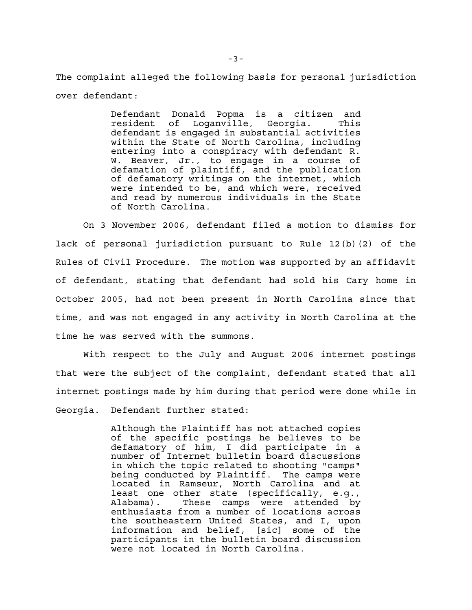The complaint alleged the following basis for personal jurisdiction over defendant:

> Defendant Donald Popma is a citizen and resident of Loganville, Georgia. This defendant is engaged in substantial activities within the State of North Carolina, including entering into a conspiracy with defendant R. W. Beaver, Jr., to engage in a course of defamation of plaintiff, and the publication of defamatory writings on the internet, which were intended to be, and which were, received and read by numerous individuals in the State of North Carolina.

On 3 November 2006, defendant filed a motion to dismiss for lack of personal jurisdiction pursuant to Rule 12(b)(2) of the Rules of Civil Procedure. The motion was supported by an affidavit of defendant, stating that defendant had sold his Cary home in October 2005, had not been present in North Carolina since that time, and was not engaged in any activity in North Carolina at the time he was served with the summons.

With respect to the July and August 2006 internet postings that were the subject of the complaint, defendant stated that all internet postings made by him during that period were done while in Georgia. Defendant further stated:

> Although the Plaintiff has not attached copies of the specific postings he believes to be defamatory of him, I did participate in a number of Internet bulletin board discussions in which the topic related to shooting "camps" being conducted by Plaintiff. The camps were located in Ramseur, North Carolina and at least one other state (specifically, e.g., Alabama). These camps were attended by enthusiasts from a number of locations across the southeastern United States, and I, upon information and belief, [sic] some of the participants in the bulletin board discussion were not located in North Carolina.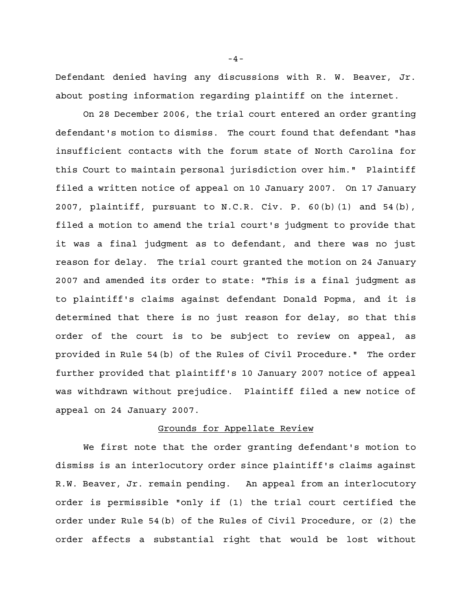Defendant denied having any discussions with R. W. Beaver, Jr. about posting information regarding plaintiff on the internet.

On 28 December 2006, the trial court entered an order granting defendant's motion to dismiss. The court found that defendant "has insufficient contacts with the forum state of North Carolina for this Court to maintain personal jurisdiction over him." Plaintiff filed a written notice of appeal on 10 January 2007. On 17 January 2007, plaintiff, pursuant to N.C.R. Civ. P. 60(b)(1) and 54(b), filed a motion to amend the trial court's judgment to provide that it was a final judgment as to defendant, and there was no just reason for delay. The trial court granted the motion on 24 January 2007 and amended its order to state: "This is a final judgment as to plaintiff's claims against defendant Donald Popma, and it is determined that there is no just reason for delay, so that this order of the court is to be subject to review on appeal, as provided in Rule 54(b) of the Rules of Civil Procedure." The order further provided that plaintiff's 10 January 2007 notice of appeal was withdrawn without prejudice. Plaintiff filed a new notice of appeal on 24 January 2007.

## Grounds for Appellate Review

We first note that the order granting defendant's motion to dismiss is an interlocutory order since plaintiff's claims against R.W. Beaver, Jr. remain pending. An appeal from an interlocutory order is permissible "only if (1) the trial court certified the order under Rule 54(b) of the Rules of Civil Procedure, or (2) the order affects a substantial right that would be lost without

-4-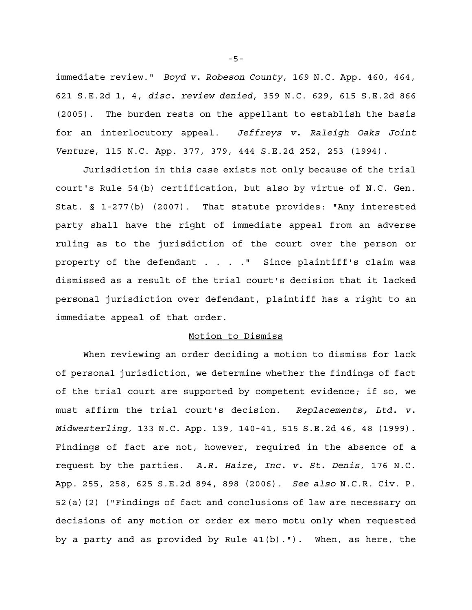immediate review." *Boyd v. Robeson County*, 169 N.C. App. 460, 464, 621 S.E.2d 1, 4, *disc. review denied*, 359 N.C. 629, 615 S.E.2d 866 (2005). The burden rests on the appellant to establish the basis for an interlocutory appeal. *Jeffreys v. Raleigh Oaks Joint Venture*, 115 N.C. App. 377, 379, 444 S.E.2d 252, 253 (1994).

Jurisdiction in this case exists not only because of the trial court's Rule 54(b) certification, but also by virtue of N.C. Gen. Stat. § 1-277(b) (2007). That statute provides: "Any interested party shall have the right of immediate appeal from an adverse ruling as to the jurisdiction of the court over the person or property of the defendant . . . . " Since plaintiff's claim was dismissed as a result of the trial court's decision that it lacked personal jurisdiction over defendant, plaintiff has a right to an immediate appeal of that order.

## Motion to Dismiss

When reviewing an order deciding a motion to dismiss for lack of personal jurisdiction, we determine whether the findings of fact of the trial court are supported by competent evidence; if so, we must affirm the trial court's decision. *Replacements, Ltd. v. Midwesterling*, 133 N.C. App. 139, 140-41, 515 S.E.2d 46, 48 (1999). Findings of fact are not, however, required in the absence of a request by the parties. *A.R. Haire, Inc. v. St. Denis*, 176 N.C. App. 255, 258, 625 S.E.2d 894, 898 (2006). *See also* N.C.R. Civ. P. 52(a)(2) ("Findings of fact and conclusions of law are necessary on decisions of any motion or order ex mero motu only when requested by a party and as provided by Rule 41(b)."). When, as here, the

-5-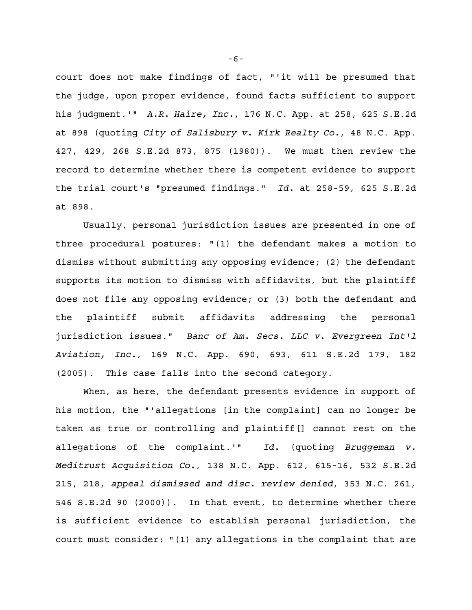court does not make findings of fact, "'it will be presumed that the judge, upon proper evidence, found facts sufficient to support his judgment.'" *A.R. Haire, Inc.*, 176 N.C. App. at 258, 625 S.E.2d at 898 (quoting *City of Salisbury v. Kirk Realty Co.*, 48 N.C. App. 427, 429, 268 S.E.2d 873, 875 (1980)). We must then review the record to determine whether there is competent evidence to support the trial court's "presumed findings." *Id.* at 258-59, 625 S.E.2d at 898.

Usually, personal jurisdiction issues are presented in one of three procedural postures: "(1) the defendant makes a motion to dismiss without submitting any opposing evidence; (2) the defendant supports its motion to dismiss with affidavits, but the plaintiff does not file any opposing evidence; or (3) both the defendant and the plaintiff submit affidavits addressing the personal jurisdiction issues." *Banc of Am. Secs. LLC v. Evergreen Int'l Aviation, Inc.*, 169 N.C. App. 690, 693, 611 S.E.2d 179, 182 (2005). This case falls into the second category.

When, as here, the defendant presents evidence in support of his motion, the "'allegations [in the complaint] can no longer be taken as true or controlling and plaintiff[] cannot rest on the allegations of the complaint.'" *Id.* (quoting *Bruggeman v. Meditrust Acquisition Co.*, 138 N.C. App. 612, 615-16, 532 S.E.2d 215, 218, *appeal dismissed and disc. review denied*, 353 N.C. 261, 546 S.E.2d 90 (2000)). In that event, to determine whether there is sufficient evidence to establish personal jurisdiction, the court must consider: "(1) any allegations in the complaint that are

-6-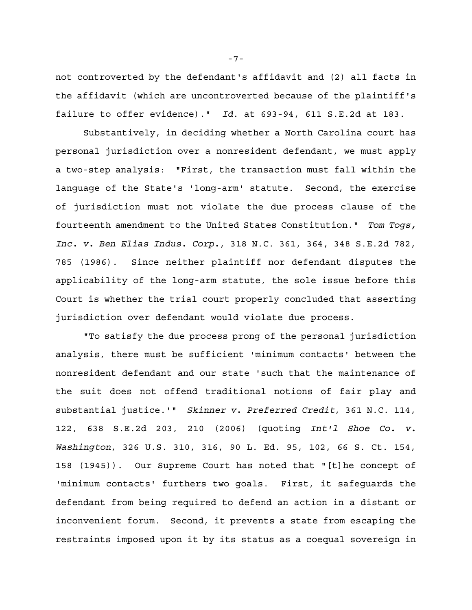not controverted by the defendant's affidavit and (2) all facts in the affidavit (which are uncontroverted because of the plaintiff's failure to offer evidence)." *Id*. at 693-94, 611 S.E.2d at 183.

Substantively, in deciding whether a North Carolina court has personal jurisdiction over a nonresident defendant, we must apply a two-step analysis: "First, the transaction must fall within the language of the State's 'long-arm' statute. Second, the exercise of jurisdiction must not violate the due process clause of the fourteenth amendment to the United States Constitution." *Tom Togs, Inc. v. Ben Elias Indus. Corp.*, 318 N.C. 361, 364, 348 S.E.2d 782, 785 (1986). Since neither plaintiff nor defendant disputes the applicability of the long-arm statute, the sole issue before this Court is whether the trial court properly concluded that asserting jurisdiction over defendant would violate due process.

"To satisfy the due process prong of the personal jurisdiction analysis, there must be sufficient 'minimum contacts' between the nonresident defendant and our state 'such that the maintenance of the suit does not offend traditional notions of fair play and substantial justice.'" *Skinner v. Preferred Credit*, 361 N.C. 114, 122, 638 S.E.2d 203, 210 (2006) (quoting *Int'l Shoe Co. v. Washington*, 326 U.S. 310, 316, 90 L. Ed. 95, 102, 66 S. Ct. 154, 158 (1945)). Our Supreme Court has noted that "[t]he concept of 'minimum contacts' furthers two goals. First, it safeguards the defendant from being required to defend an action in a distant or inconvenient forum. Second, it prevents a state from escaping the restraints imposed upon it by its status as a coequal sovereign in

-7-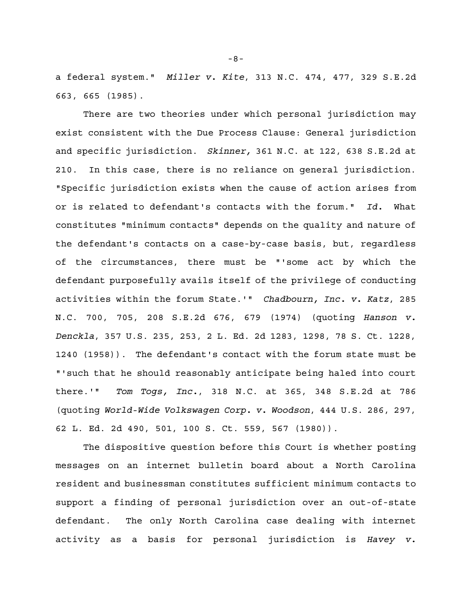a federal system." *Miller v. Kite*, 313 N.C. 474, 477, 329 S.E.2d 663, 665 (1985).

There are two theories under which personal jurisdiction may exist consistent with the Due Process Clause: General jurisdiction and specific jurisdiction. *Skinner,* 361 N.C. at 122, 638 S.E.2d at 210. In this case, there is no reliance on general jurisdiction. "Specific jurisdiction exists when the cause of action arises from or is related to defendant's contacts with the forum." *Id.* What constitutes "minimum contacts" depends on the quality and nature of the defendant's contacts on a case-by-case basis, but, regardless of the circumstances, there must be "'some act by which the defendant purposefully avails itself of the privilege of conducting activities within the forum State.'" *Chadbourn, Inc. v. Katz*, 285 N.C. 700, 705, 208 S.E.2d 676, 679 (1974) (quoting *Hanson v. Denckla*, 357 U.S. 235, 253, 2 L. Ed. 2d 1283, 1298, 78 S. Ct. 1228, 1240 (1958)). The defendant's contact with the forum state must be "'such that he should reasonably anticipate being haled into court there.'" *Tom Togs, Inc.*, 318 N.C. at 365, 348 S.E.2d at 786 (quoting *World-Wide Volkswagen Corp. v. Woodson*, 444 U.S. 286, 297, 62 L. Ed. 2d 490, 501, 100 S. Ct. 559, 567 (1980)).

The dispositive question before this Court is whether posting messages on an internet bulletin board about a North Carolina resident and businessman constitutes sufficient minimum contacts to support a finding of personal jurisdiction over an out-of-state defendant. The only North Carolina case dealing with internet activity as a basis for personal jurisdiction is *Havey v.*

-8-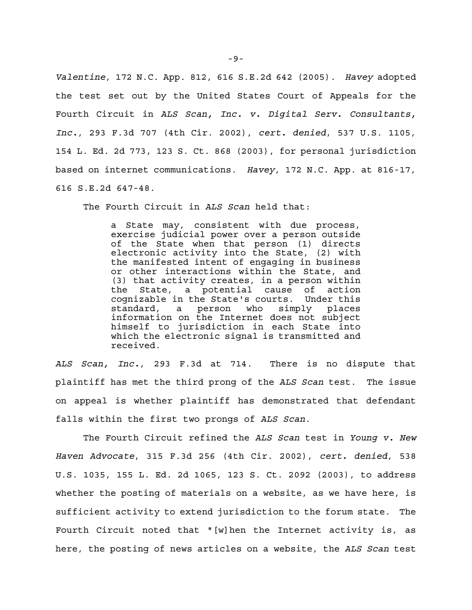*Valentine*, 172 N.C. App. 812, 616 S.E.2d 642 (2005). *Havey* adopted the test set out by the United States Court of Appeals for the Fourth Circuit in *ALS Scan, Inc. v. Digital Serv. Consultants, Inc.*, 293 F.3d 707 (4th Cir. 2002), *cert. denied*, 537 U.S. 1105, 154 L. Ed. 2d 773, 123 S. Ct. 868 (2003), for personal jurisdiction based on internet communications. *Havey*, 172 N.C. App. at 816-17, 616 S.E.2d 647-48.

The Fourth Circuit in *ALS Scan* held that:

a State may, consistent with due process, exercise judicial power over a person outside of the State when that person (1) directs electronic activity into the State, (2) with the manifested intent of engaging in business or other interactions within the State, and (3) that activity creates, in a person within the State, a potential cause of action cognizable in the State's courts. Under this standard, a person who simply places information on the Internet does not subject himself to jurisdiction in each State into which the electronic signal is transmitted and received.

*ALS Scan, Inc.*, 293 F.3d at 714. There is no dispute that plaintiff has met the third prong of the *ALS Scan* test. The issue on appeal is whether plaintiff has demonstrated that defendant falls within the first two prongs of *ALS Scan*.

The Fourth Circuit refined the *ALS Scan* test in *Young v. New Haven Advocate*, 315 F.3d 256 (4th Cir. 2002), *cert. denied*, 538 U.S. 1035, 155 L. Ed. 2d 1065, 123 S. Ct. 2092 (2003), to address whether the posting of materials on a website, as we have here, is sufficient activity to extend jurisdiction to the forum state. The Fourth Circuit noted that "[w]hen the Internet activity is, as here, the posting of news articles on a website, the *ALS Scan* test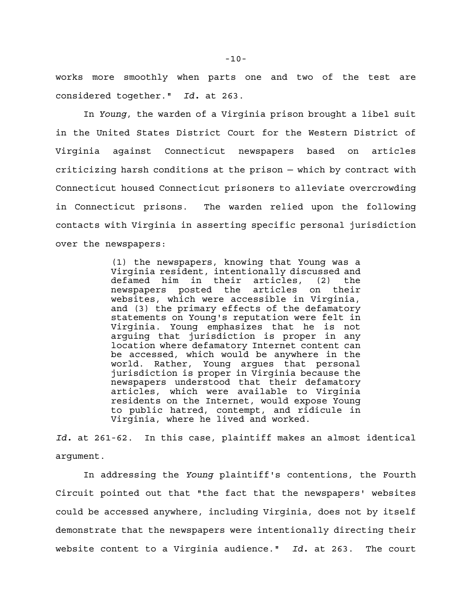works more smoothly when parts one and two of the test are considered together." *Id.* at 263.

In *Young*, the warden of a Virginia prison brought a libel suit in the United States District Court for the Western District of Virginia against Connecticut newspapers based on articles criticizing harsh conditions at the prison — which by contract with Connecticut housed Connecticut prisoners to alleviate overcrowding in Connecticut prisons. The warden relied upon the following contacts with Virginia in asserting specific personal jurisdiction over the newspapers:

> (1) the newspapers, knowing that Young was a Virginia resident, intentionally discussed and defamed him in their articles, (2) the newspapers posted the articles on their websites, which were accessible in Virginia, and (3) the primary effects of the defamatory statements on Young's reputation were felt in Virginia. Young emphasizes that he is not arguing that jurisdiction is proper in any location where defamatory Internet content can be accessed, which would be anywhere in the world. Rather, Young argues that personal jurisdiction is proper in Virginia because the newspapers understood that their defamatory articles, which were available to Virginia residents on the Internet, would expose Young to public hatred, contempt, and ridicule in Virginia, where he lived and worked.

*Id.* at 261-62. In this case, plaintiff makes an almost identical argument.

In addressing the *Young* plaintiff's contentions, the Fourth Circuit pointed out that "the fact that the newspapers' websites could be accessed anywhere, including Virginia, does not by itself demonstrate that the newspapers were intentionally directing their website content to a Virginia audience." *Id.* at 263. The court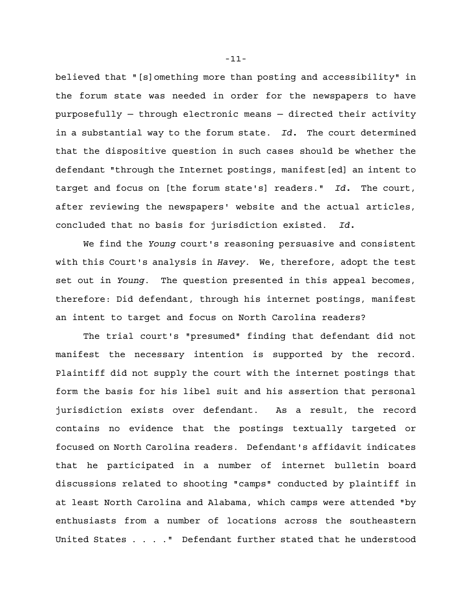believed that "[s]omething more than posting and accessibility" in the forum state was needed in order for the newspapers to have purposefully — through electronic means — directed their activity in a substantial way to the forum state. *Id.* The court determined that the dispositive question in such cases should be whether the defendant "through the Internet postings, manifest[ed] an intent to target and focus on [the forum state's] readers." *Id.* The court, after reviewing the newspapers' website and the actual articles, concluded that no basis for jurisdiction existed. *Id.*

We find the *Young* court's reasoning persuasive and consistent with this Court's analysis in *Havey*. We, therefore, adopt the test set out in *Young*. The question presented in this appeal becomes, therefore: Did defendant, through his internet postings, manifest an intent to target and focus on North Carolina readers?

The trial court's "presumed" finding that defendant did not manifest the necessary intention is supported by the record. Plaintiff did not supply the court with the internet postings that form the basis for his libel suit and his assertion that personal jurisdiction exists over defendant. As a result, the record contains no evidence that the postings textually targeted or focused on North Carolina readers. Defendant's affidavit indicates that he participated in a number of internet bulletin board discussions related to shooting "camps" conducted by plaintiff in at least North Carolina and Alabama, which camps were attended "by enthusiasts from a number of locations across the southeastern United States . . . ." Defendant further stated that he understood

-11-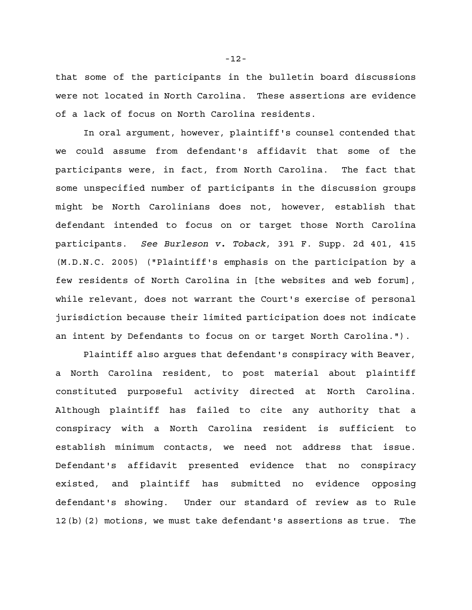that some of the participants in the bulletin board discussions were not located in North Carolina. These assertions are evidence of a lack of focus on North Carolina residents.

In oral argument, however, plaintiff's counsel contended that we could assume from defendant's affidavit that some of the participants were, in fact, from North Carolina. The fact that some unspecified number of participants in the discussion groups might be North Carolinians does not, however, establish that defendant intended to focus on or target those North Carolina participants. *See Burleson v. Toback*, 391 F. Supp. 2d 401, 415 (M.D.N.C. 2005) ("Plaintiff's emphasis on the participation by a few residents of North Carolina in [the websites and web forum], while relevant, does not warrant the Court's exercise of personal jurisdiction because their limited participation does not indicate an intent by Defendants to focus on or target North Carolina.").

Plaintiff also argues that defendant's conspiracy with Beaver, a North Carolina resident, to post material about plaintiff constituted purposeful activity directed at North Carolina. Although plaintiff has failed to cite any authority that a conspiracy with a North Carolina resident is sufficient to establish minimum contacts, we need not address that issue. Defendant's affidavit presented evidence that no conspiracy existed, and plaintiff has submitted no evidence opposing defendant's showing. Under our standard of review as to Rule 12(b)(2) motions, we must take defendant's assertions as true. The

-12-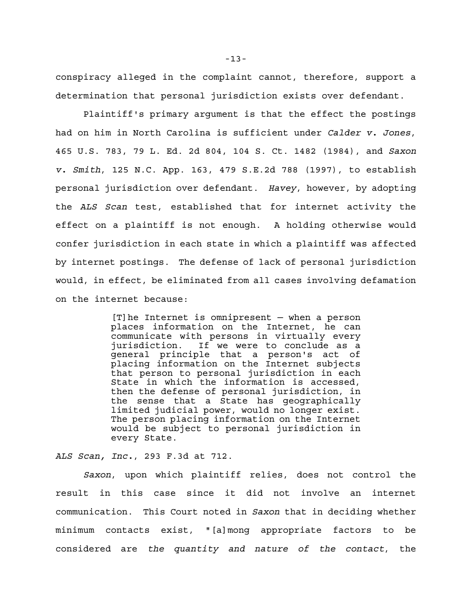conspiracy alleged in the complaint cannot, therefore, support a determination that personal jurisdiction exists over defendant.

Plaintiff's primary argument is that the effect the postings had on him in North Carolina is sufficient under *Calder v. Jones*, 465 U.S. 783, 79 L. Ed. 2d 804, 104 S. Ct. 1482 (1984), and *Saxon v. Smith*, 125 N.C. App. 163, 479 S.E.2d 788 (1997), to establish personal jurisdiction over defendant. *Havey*, however, by adopting the *ALS Scan* test, established that for internet activity the effect on a plaintiff is not enough. A holding otherwise would confer jurisdiction in each state in which a plaintiff was affected by internet postings. The defense of lack of personal jurisdiction would, in effect, be eliminated from all cases involving defamation on the internet because:

> [T]he Internet is omnipresent — when a person places information on the Internet, he can communicate with persons in virtually every jurisdiction. If we were to conclude as a general principle that a person's act of placing information on the Internet subjects that person to personal jurisdiction in each State in which the information is accessed, then the defense of personal jurisdiction, in the sense that a State has geographically limited judicial power, would no longer exist. The person placing information on the Internet would be subject to personal jurisdiction in every State.

*ALS Scan, Inc.*, 293 F.3d at 712.

*Saxon*, upon which plaintiff relies, does not control the result in this case since it did not involve an internet communication. This Court noted in *Saxon* that in deciding whether minimum contacts exist, "[a]mong appropriate factors to be considered are *the quantity and nature of the contact*, the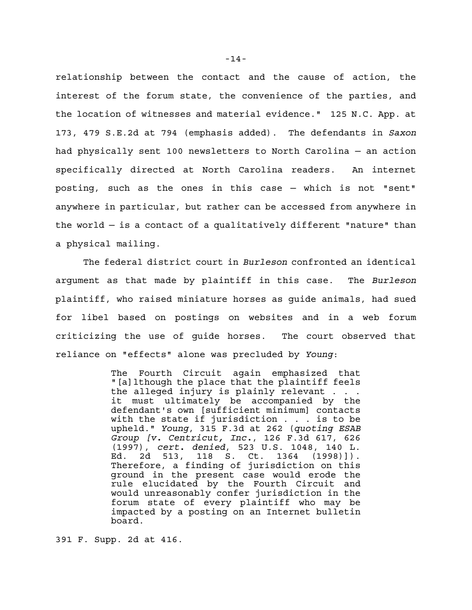relationship between the contact and the cause of action, the interest of the forum state, the convenience of the parties, and the location of witnesses and material evidence." 125 N.C. App. at 173, 479 S.E.2d at 794 (emphasis added). The defendants in *Saxon* had physically sent 100 newsletters to North Carolina — an action specifically directed at North Carolina readers. An internet posting, such as the ones in this case — which is not "sent" anywhere in particular, but rather can be accessed from anywhere in the world — is a contact of a qualitatively different "nature" than a physical mailing.

The federal district court in *Burleson* confronted an identical argument as that made by plaintiff in this case. The *Burleson* plaintiff, who raised miniature horses as guide animals, had sued for libel based on postings on websites and in a web forum criticizing the use of guide horses. The court observed that reliance on "effects" alone was precluded by *Young*:

> The Fourth Circuit again emphasized that "[a]lthough the place that the plaintiff feels the alleged injury is plainly relevant . . . it must ultimately be accompanied by the defendant's own [sufficient minimum] contacts with the state if jurisdiction . . . is to be upheld." *Young*, 315 F.3d at 262 (*quoting ESAB Group [v. Centricut, Inc.*, 126 F.3d 617, 626 (1997), *cert. denied*, 523 U.S. 1048, 140 L. Ed. 2d 513, 118 S. Ct. 1364 (1998)]). Therefore, a finding of jurisdiction on this ground in the present case would erode the rule elucidated by the Fourth Circuit and would unreasonably confer jurisdiction in the forum state of every plaintiff who may be impacted by a posting on an Internet bulletin board.

391 F. Supp. 2d at 416.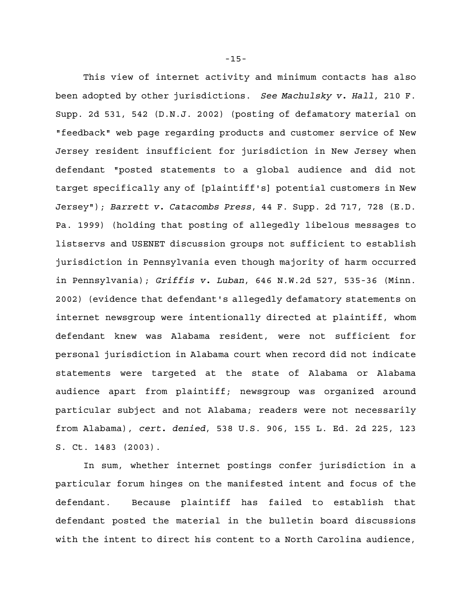This view of internet activity and minimum contacts has also been adopted by other jurisdictions. *See Machulsky v. Hall*, 210 F. Supp. 2d 531, 542 (D.N.J. 2002) (posting of defamatory material on "feedback" web page regarding products and customer service of New Jersey resident insufficient for jurisdiction in New Jersey when defendant "posted statements to a global audience and did not target specifically any of [plaintiff's] potential customers in New Jersey"); *Barrett v. Catacombs Press*, 44 F. Supp. 2d 717, 728 (E.D. Pa. 1999) (holding that posting of allegedly libelous messages to listservs and USENET discussion groups not sufficient to establish jurisdiction in Pennsylvania even though majority of harm occurred in Pennsylvania); *Griffis v. Luban*, 646 N.W.2d 527, 535-36 (Minn. 2002) (evidence that defendant's allegedly defamatory statements on internet newsgroup were intentionally directed at plaintiff, whom defendant knew was Alabama resident, were not sufficient for personal jurisdiction in Alabama court when record did not indicate statements were targeted at the state of Alabama or Alabama audience apart from plaintiff; newsgroup was organized around particular subject and not Alabama; readers were not necessarily from Alabama), *cert. denied*, 538 U.S. 906, 155 L. Ed. 2d 225, 123 S. Ct. 1483 (2003).

In sum, whether internet postings confer jurisdiction in a particular forum hinges on the manifested intent and focus of the defendant. Because plaintiff has failed to establish that defendant posted the material in the bulletin board discussions with the intent to direct his content to a North Carolina audience,